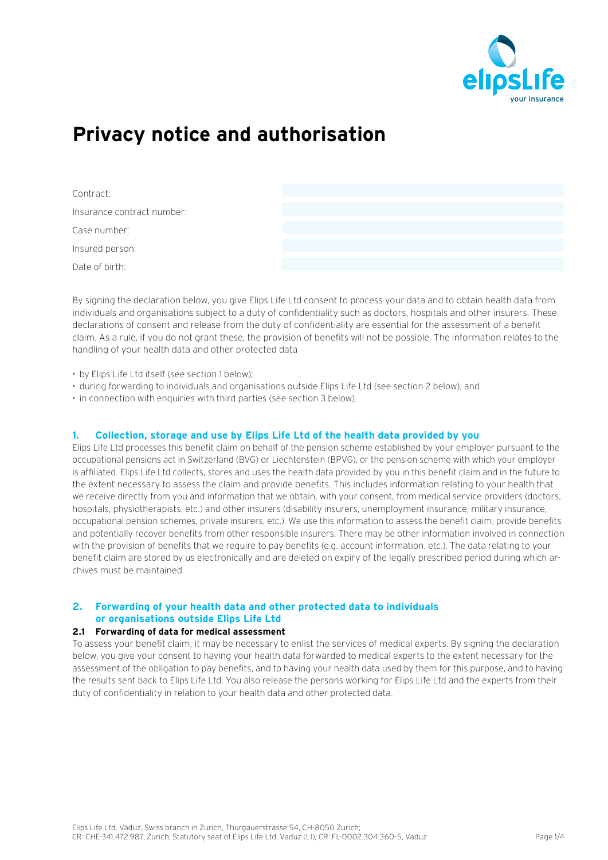

# **Privacy notice and authorisation**

| Contract:                  |  |
|----------------------------|--|
| Insurance contract number: |  |
| Case number:               |  |
| Insured person:            |  |
| Date of birth:             |  |

By signing the declaration below, you give Elips Life Ltd consent to process your data and to obtain health data from individuals and organisations subject to a duty of confidentiality such as doctors, hospitals and other insurers. These declarations of consent and release from the duty of confidentiality are essential for the assessment of a benefit claim. As a rule, if you do not grant these, the provision of benefits will not be possible. The information relates to the handling of your health data and other protected data

- by Elips Life Ltd itself (see section 1 below);
- during forwarding to individuals and organisations outside Elips Life Ltd (see section 2 below); and
- in connection with enquiries with third parties (see section 3 below).

# **1. Collection, storage and use by Elips Life Ltd of the health data provided by you**

Elips Life Ltd processes this benefit claim on behalf of the pension scheme established by your employer pursuant to the occupational pensions act in Switzerland (BVG) or Liechtenstein (BPVG), or the pension scheme with which your employer is affiliated. Elips Life Ltd collects, stores and uses the health data provided by you in this benefit claim and in the future to the extent necessary to assess the claim and provide benefits. This includes information relating to your health that we receive directly from you and information that we obtain, with your consent, from medical service providers (doctors, hospitals, physiotherapists, etc.) and other insurers (disability insurers, unemployment insurance, military insurance, occupational pension schemes, private insurers, etc.). We use this information to assess the benefit claim, provide benefits and potentially recover benefits from other responsible insurers. There may be other information involved in connection with the provision of benefits that we require to pay benefits (e.g. account information, etc.). The data relating to your benefit claim are stored by us electronically and are deleted on expiry of the legally prescribed period during which archives must be maintained.

# **2. Forwarding of your health data and other protected data to individuals or organisations outside Elips Life Ltd**

## **2.1 Forwarding of data for medical assessment**

To assess your benefit claim, it may be necessary to enlist the services of medical experts. By signing the declaration below, you give your consent to having your health data forwarded to medical experts to the extent necessary for the assessment of the obligation to pay benefits, and to having your health data used by them for this purpose, and to having the results sent back to Elips Life Ltd. You also release the persons working for Elips Life Ltd and the experts from their duty of confidentiality in relation to your health data and other protected data.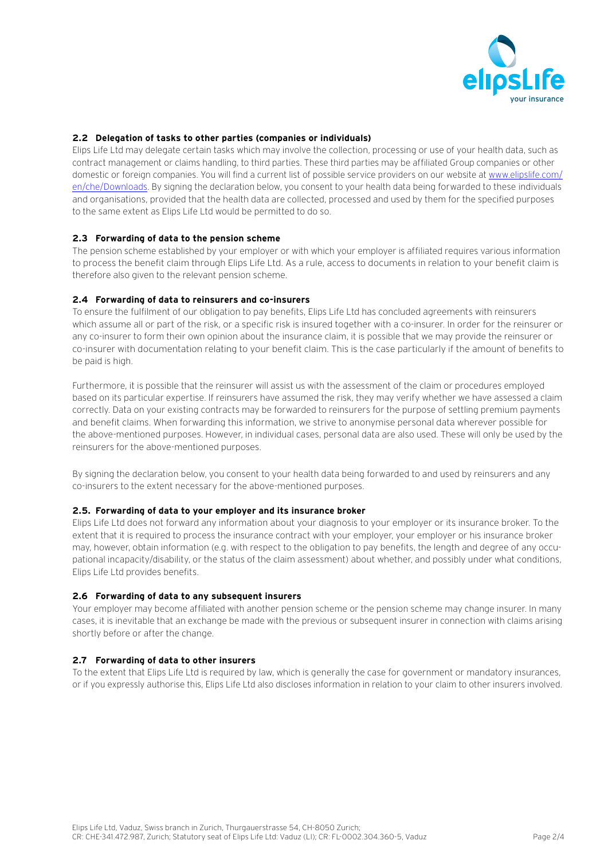

# **2.2 Delegation of tasks to other parties (companies or individuals)**

Elips Life Ltd may delegate certain tasks which may involve the collection, processing or use of your health data, such as contract management or claims handling, to third parties. These third parties may be affiliated Group companies or other domestic or foreign companies. You will find a current list of possible service providers on our website a[t www.elipslife.com/](https://www.elipslife.com/en/che/Downloads) [en/che/Downloads.](https://www.elipslife.com/en/che/Downloads) By signing the declaration below, you consent to your health data being forwarded to these individuals and organisations, provided that the health data are collected, processed and used by them for the specified purposes to the same extent as Elips Life Ltd would be permitted to do so.

## **2.3 Forwarding of data to the pension scheme**

The pension scheme established by your employer or with which your employer is affiliated requires various information to process the benefit claim through Elips Life Ltd. As a rule, access to documents in relation to your benefit claim is therefore also given to the relevant pension scheme.

#### **2.4 Forwarding of data to reinsurers and co-insurers**

To ensure the fulfilment of our obligation to pay benefits, Elips Life Ltd has concluded agreements with reinsurers which assume all or part of the risk, or a specific risk is insured together with a co-insurer. In order for the reinsurer or any co-insurer to form their own opinion about the insurance claim, it is possible that we may provide the reinsurer or co-insurer with documentation relating to your benefit claim. This is the case particularly if the amount of benefits to be paid is high.

Furthermore, it is possible that the reinsurer will assist us with the assessment of the claim or procedures employed based on its particular expertise. If reinsurers have assumed the risk, they may verify whether we have assessed a claim correctly. Data on your existing contracts may be forwarded to reinsurers for the purpose of settling premium payments and benefit claims. When forwarding this information, we strive to anonymise personal data wherever possible for the above-mentioned purposes. However, in individual cases, personal data are also used. These will only be used by the reinsurers for the above-mentioned purposes.

By signing the declaration below, you consent to your health data being forwarded to and used by reinsurers and any co-insurers to the extent necessary for the above-mentioned purposes.

#### **2.5. Forwarding of data to your employer and its insurance broker**

Elips Life Ltd does not forward any information about your diagnosis to your employer or its insurance broker. To the extent that it is required to process the insurance contract with your employer, your employer or his insurance broker may, however, obtain information (e.g. with respect to the obligation to pay benefits, the length and degree of any occupational incapacity/disability, or the status of the claim assessment) about whether, and possibly under what conditions, Elips Life Ltd provides benefits.

#### **2.6 Forwarding of data to any subsequent insurers**

Your employer may become affiliated with another pension scheme or the pension scheme may change insurer. In many cases, it is inevitable that an exchange be made with the previous or subsequent insurer in connection with claims arising shortly before or after the change.

## **2.7 Forwarding of data to other insurers**

To the extent that Elips Life Ltd is required by law, which is generally the case for government or mandatory insurances, or if you expressly authorise this, Elips Life Ltd also discloses information in relation to your claim to other insurers involved.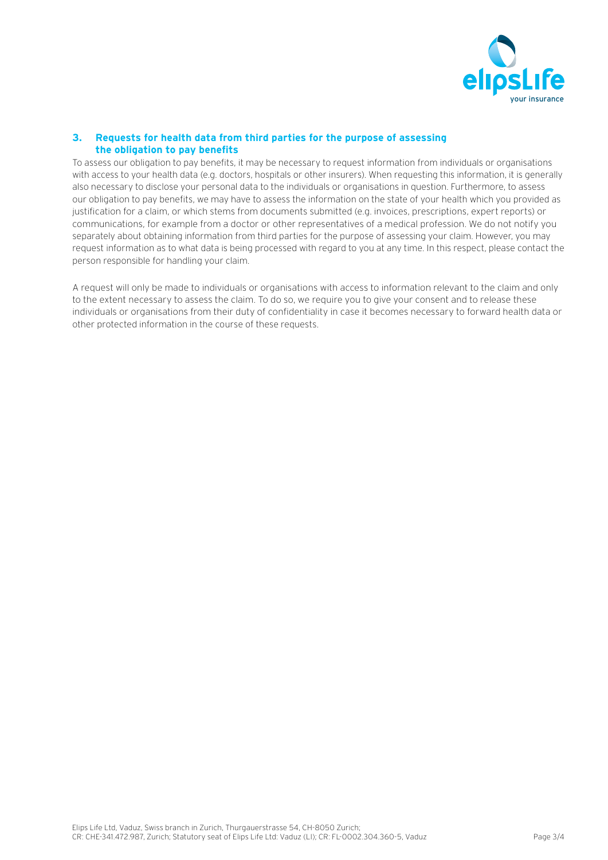

# **3. Requests for health data from third parties for the purpose of assessing the obligation to pay benefits**

To assess our obligation to pay benefits, it may be necessary to request information from individuals or organisations with access to your health data (e.g. doctors, hospitals or other insurers). When requesting this information, it is generally also necessary to disclose your personal data to the individuals or organisations in question. Furthermore, to assess our obligation to pay benefits, we may have to assess the information on the state of your health which you provided as justification for a claim, or which stems from documents submitted (e.g. invoices, prescriptions, expert reports) or communications, for example from a doctor or other representatives of a medical profession. We do not notify you separately about obtaining information from third parties for the purpose of assessing your claim. However, you may request information as to what data is being processed with regard to you at any time. In this respect, please contact the person responsible for handling your claim.

A request will only be made to individuals or organisations with access to information relevant to the claim and only to the extent necessary to assess the claim. To do so, we require you to give your consent and to release these individuals or organisations from their duty of confidentiality in case it becomes necessary to forward health data or other protected information in the course of these requests.